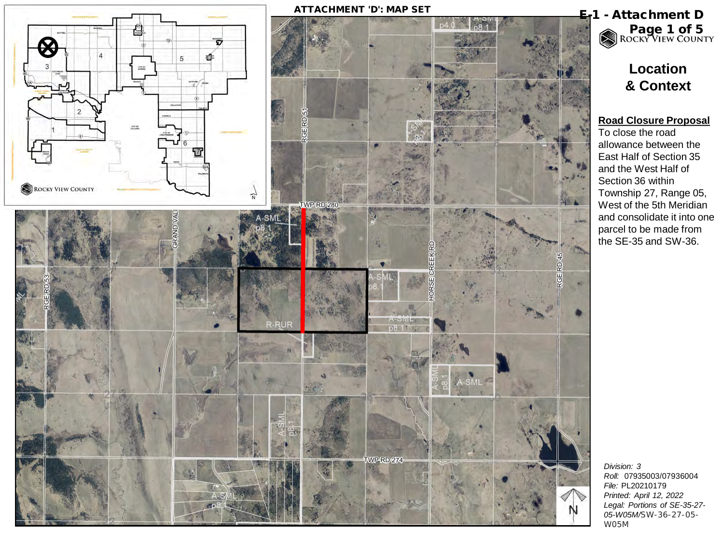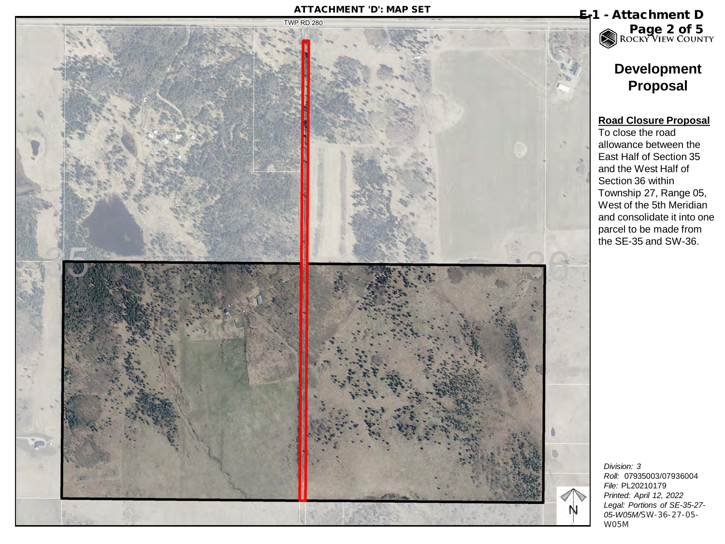

*Roll:* 07935003/07936004 *Legal: Portions of SE-35-27- 05-W05M/*SW-36-27-05- W05M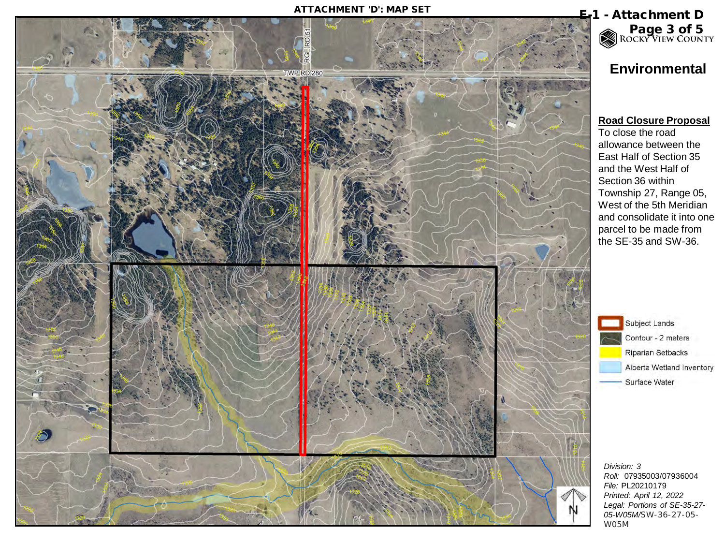

# Page 3 of 5<br>ROCKY VIEW COUNTY

## **Environmental**

#### **Road Closure Proposal**

To close the road allowance between the East Half of Section 35 and the West Half of Section 36 within Township 27, Range 05, West of the 5th Meridian and consolidate it into one parcel to be made from the SE-35 and SW-36.



Contour - 2 meters Riparian Setbacks Alberta Wetland Inventory Surface Water

*Division: 3 Roll:* 07935003/07936004 *File:* PL20210179 *Printed: April 12, 2022 Legal: Portions of SE-35-27- 05-W05M/*SW-36-27-05- W05M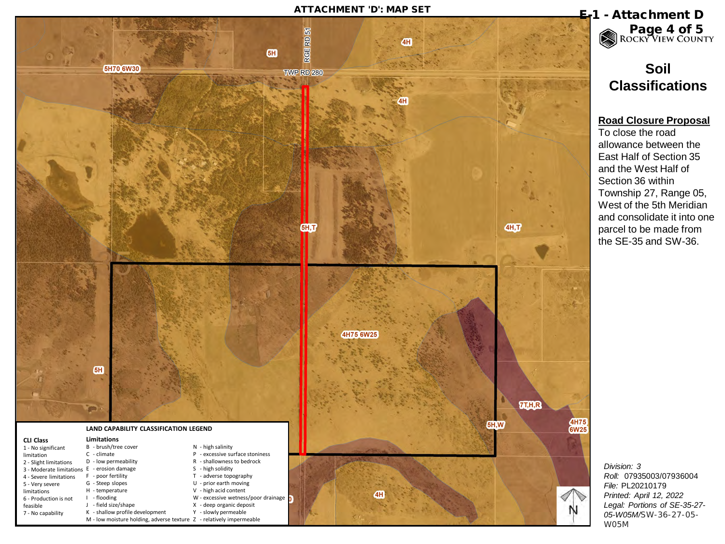### ATTACHMENT 'D': MAP SET **E-1** - Attachment D



# Page 4 of 5<br>ROCKY VIEW COUNTY

## **Soil Classifications**

### **Road Closure Proposal**

To close the road allowance between the East Half of Section 35 and the West Half of Section 36 within Township 27, Range 05, West of the 5th Meridian and consolidate it into one parcel to be made from the SE-35 and SW-36.

*Division: 3 Roll:* 07935003/07936004 *File:* PL20210179 *Printed: April 12, 2022 Legal: Portions of SE-35-27- 05-W05M/*SW-36-27-05- W05M